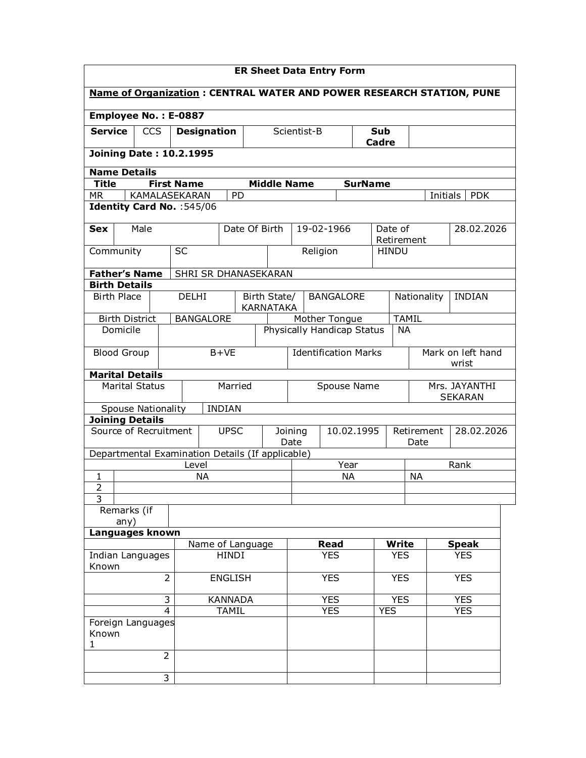| <b>ER Sheet Data Entry Form</b>                                      |                                                  |                |                    |                      |                             |                                  |             |                                    |  |                |            |                                  |                 |                                 |  |
|----------------------------------------------------------------------|--------------------------------------------------|----------------|--------------------|----------------------|-----------------------------|----------------------------------|-------------|------------------------------------|--|----------------|------------|----------------------------------|-----------------|---------------------------------|--|
| Name of Organization: CENTRAL WATER AND POWER RESEARCH STATION, PUNE |                                                  |                |                    |                      |                             |                                  |             |                                    |  |                |            |                                  |                 |                                 |  |
| Employee No.: E-0887                                                 |                                                  |                |                    |                      |                             |                                  |             |                                    |  |                |            |                                  |                 |                                 |  |
| <b>Service</b>                                                       | <b>CCS</b>                                       |                | <b>Designation</b> |                      |                             |                                  |             | Scientist-B<br><b>Sub</b><br>Cadre |  |                |            |                                  |                 |                                 |  |
|                                                                      | <b>Joining Date: 10.2.1995</b>                   |                |                    |                      |                             |                                  |             |                                    |  |                |            |                                  |                 |                                 |  |
| <b>Name Details</b>                                                  |                                                  |                |                    |                      |                             |                                  |             |                                    |  |                |            |                                  |                 |                                 |  |
| <b>Title</b>                                                         |                                                  |                | <b>First Name</b>  |                      |                             | <b>Middle Name</b>               |             |                                    |  | <b>SurName</b> |            |                                  |                 |                                 |  |
| <b>MR</b>                                                            |                                                  |                | KAMALASEKARAN      |                      | PD                          |                                  |             |                                    |  |                |            |                                  | <b>Initials</b> | <b>PDK</b>                      |  |
|                                                                      | Identity Card No. : 545/06                       |                |                    |                      |                             |                                  |             |                                    |  |                |            |                                  |                 |                                 |  |
| <b>Sex</b>                                                           | Male                                             |                |                    |                      | Date Of Birth               |                                  |             | 19-02-1966                         |  |                |            | Date of<br>Retirement            |                 | 28.02.2026                      |  |
|                                                                      | Community                                        |                | <b>SC</b>          |                      |                             |                                  |             | Religion                           |  |                |            | <b>HINDU</b>                     |                 |                                 |  |
|                                                                      | <b>Father's Name</b>                             |                |                    | SHRI SR DHANASEKARAN |                             |                                  |             |                                    |  |                |            |                                  |                 |                                 |  |
|                                                                      | <b>Birth Details</b>                             |                |                    |                      |                             |                                  |             |                                    |  |                |            |                                  |                 |                                 |  |
|                                                                      | <b>Birth Place</b>                               |                | <b>DELHI</b>       |                      |                             | Birth State/<br><b>KARNATAKA</b> |             | <b>BANGALORE</b>                   |  |                |            |                                  | Nationality     | <b>INDIAN</b>                   |  |
|                                                                      | <b>Birth District</b>                            |                |                    | <b>BANGALORE</b>     |                             |                                  |             | Mother Tongue                      |  |                |            | <b>TAMIL</b>                     |                 |                                 |  |
|                                                                      | Domicile                                         |                |                    |                      |                             |                                  |             | Physically Handicap Status         |  |                |            | <b>NA</b>                        |                 |                                 |  |
| $B+VE$<br><b>Blood Group</b>                                         |                                                  |                |                    |                      | <b>Identification Marks</b> |                                  |             |                                    |  |                |            | Mark on left hand<br>wrist       |                 |                                 |  |
|                                                                      | <b>Marital Details</b>                           |                |                    |                      |                             |                                  |             |                                    |  |                |            |                                  |                 |                                 |  |
|                                                                      | <b>Marital Status</b>                            |                |                    |                      | Married                     |                                  | Spouse Name |                                    |  |                |            |                                  |                 | Mrs. JAYANTHI<br><b>SEKARAN</b> |  |
|                                                                      | <b>Spouse Nationality</b>                        |                |                    | <b>INDIAN</b>        |                             |                                  |             |                                    |  |                |            |                                  |                 |                                 |  |
|                                                                      | <b>Joining Details</b>                           |                |                    |                      |                             |                                  |             |                                    |  |                |            |                                  |                 |                                 |  |
|                                                                      | Source of Recruitment                            |                |                    |                      | <b>UPSC</b>                 | 10.02.1995<br>Joining<br>Date    |             |                                    |  |                |            | Retirement<br>28.02.2026<br>Date |                 |                                 |  |
|                                                                      | Departmental Examination Details (If applicable) |                |                    |                      |                             |                                  |             |                                    |  |                |            |                                  |                 |                                 |  |
| 1                                                                    |                                                  |                | Level              | ΝA                   |                             |                                  | Year<br>ΝA  |                                    |  |                |            |                                  | <b>NA</b>       | Rank                            |  |
| $\overline{2}$                                                       |                                                  |                |                    |                      |                             |                                  |             |                                    |  |                |            |                                  |                 |                                 |  |
| 3                                                                    |                                                  |                |                    |                      |                             |                                  |             |                                    |  |                |            |                                  |                 |                                 |  |
|                                                                      | Remarks (if<br>any)                              |                |                    |                      |                             |                                  |             |                                    |  |                |            |                                  |                 |                                 |  |
|                                                                      | Languages known                                  |                |                    |                      |                             |                                  |             |                                    |  |                |            |                                  |                 |                                 |  |
|                                                                      |                                                  |                |                    | Name of Language     |                             |                                  |             | Read                               |  |                |            | <b>Write</b>                     |                 | <b>Speak</b>                    |  |
| Known                                                                | Indian Languages                                 |                |                    |                      | <b>HINDI</b>                |                                  |             | <b>YES</b>                         |  |                |            | <b>YES</b>                       |                 | <b>YES</b>                      |  |
|                                                                      |                                                  | $\overline{2}$ |                    |                      | <b>ENGLISH</b>              |                                  |             | <b>YES</b>                         |  |                | <b>YES</b> |                                  |                 | <b>YES</b>                      |  |
|                                                                      |                                                  | 3              |                    |                      | <b>KANNADA</b>              |                                  |             | <b>YES</b>                         |  |                | <b>YES</b> | <b>YES</b>                       |                 |                                 |  |
|                                                                      |                                                  | 4              |                    |                      | <b>TAMIL</b>                |                                  | <b>YES</b>  |                                    |  | <b>YES</b>     | <b>YES</b> |                                  |                 |                                 |  |
| Known<br>1                                                           | Foreign Languages                                |                |                    |                      |                             |                                  |             |                                    |  |                |            |                                  |                 |                                 |  |
|                                                                      |                                                  | $\overline{2}$ |                    |                      |                             |                                  |             |                                    |  |                |            |                                  |                 |                                 |  |
|                                                                      |                                                  | 3              |                    |                      |                             |                                  |             |                                    |  |                |            |                                  |                 |                                 |  |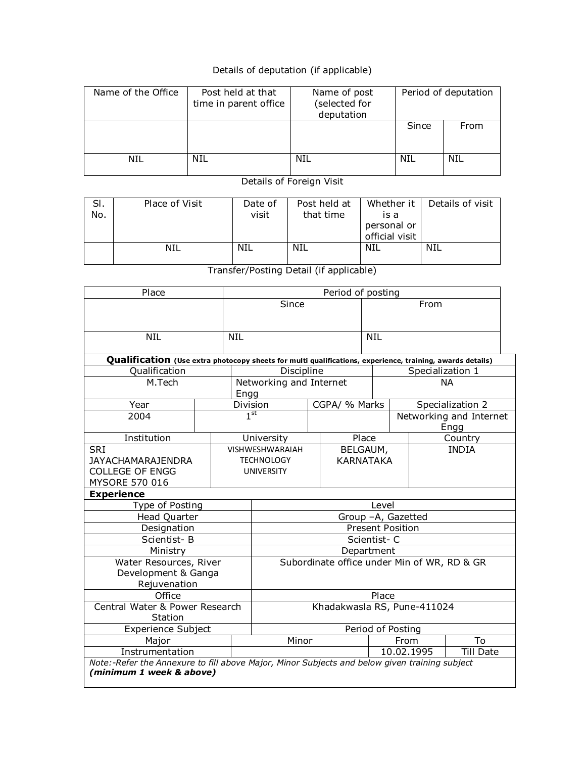## Details of deputation (if applicable)

| Name of the Office | Post held at that     | Name of post                | Period of deputation |      |  |  |
|--------------------|-----------------------|-----------------------------|----------------------|------|--|--|
|                    | time in parent office | (selected for<br>deputation |                      |      |  |  |
|                    |                       |                             | Since                | From |  |  |
|                    |                       |                             |                      |      |  |  |
| NIL                | NIL                   | NIL                         | NIL                  | NIL  |  |  |

Details of Foreign Visit

| SI.<br>No. | Place of Visit | Date of<br>visit | Post held at<br>that time | Whether it I<br>is a<br>personal or<br>official visit | Details of visit |
|------------|----------------|------------------|---------------------------|-------------------------------------------------------|------------------|
|            | NIL            | NIL              | NIL                       | NIL                                                   | NIL              |

Transfer/Posting Detail (if applicable)

| Place                                                                                                                     |                        |            | Period of posting                           |                   |                  |            |                  |  |                         |  |
|---------------------------------------------------------------------------------------------------------------------------|------------------------|------------|---------------------------------------------|-------------------|------------------|------------|------------------|--|-------------------------|--|
|                                                                                                                           |                        | Since      |                                             |                   |                  |            | From             |  |                         |  |
|                                                                                                                           |                        |            |                                             |                   |                  |            |                  |  |                         |  |
| <b>NIL</b>                                                                                                                |                        | <b>NIL</b> |                                             |                   |                  | <b>NIL</b> |                  |  |                         |  |
|                                                                                                                           |                        |            |                                             |                   |                  |            |                  |  |                         |  |
| Qualification (Use extra photocopy sheets for multi qualifications, experience, training, awards details)                 |                        |            |                                             |                   |                  |            |                  |  |                         |  |
| Qualification                                                                                                             |                        |            | Discipline                                  |                   |                  |            | Specialization 1 |  |                         |  |
| M.Tech                                                                                                                    |                        |            | Networking and Internet                     |                   |                  | <b>NA</b>  |                  |  |                         |  |
|                                                                                                                           |                        | Engg       |                                             |                   |                  |            |                  |  |                         |  |
| Year                                                                                                                      |                        |            | Division                                    |                   | CGPA/ % Marks    |            |                  |  | Specialization 2        |  |
| 2004                                                                                                                      |                        |            | 1 <sup>st</sup>                             |                   |                  |            |                  |  | Networking and Internet |  |
|                                                                                                                           |                        |            |                                             |                   |                  |            |                  |  | Engg                    |  |
| Institution                                                                                                               |                        |            | University                                  |                   |                  | Place      |                  |  | Country                 |  |
| <b>SRI</b>                                                                                                                | <b>VISHWESHWARAIAH</b> |            |                                             |                   |                  |            | BELGAUM,         |  | <b>INDIA</b>            |  |
| <b>JAYACHAMARAJENDRA</b>                                                                                                  |                        |            | <b>TECHNOLOGY</b>                           |                   | <b>KARNATAKA</b> |            |                  |  |                         |  |
| <b>COLLEGE OF ENGG</b>                                                                                                    |                        |            | <b>UNIVERSITY</b>                           |                   |                  |            |                  |  |                         |  |
| MYSORE 570 016                                                                                                            |                        |            |                                             |                   |                  |            |                  |  |                         |  |
| <b>Experience</b>                                                                                                         |                        |            |                                             |                   |                  |            |                  |  |                         |  |
| Type of Posting                                                                                                           |                        |            | Level                                       |                   |                  |            |                  |  |                         |  |
| <b>Head Quarter</b>                                                                                                       |                        |            | Group -A, Gazetted                          |                   |                  |            |                  |  |                         |  |
| Designation                                                                                                               |                        |            | <b>Present Position</b>                     |                   |                  |            |                  |  |                         |  |
| Scientist-B                                                                                                               |                        |            | Scientist-C                                 |                   |                  |            |                  |  |                         |  |
| Ministry                                                                                                                  |                        |            | Department                                  |                   |                  |            |                  |  |                         |  |
| Water Resources, River                                                                                                    |                        |            | Subordinate office under Min of WR, RD & GR |                   |                  |            |                  |  |                         |  |
| Development & Ganga                                                                                                       |                        |            |                                             |                   |                  |            |                  |  |                         |  |
| Rejuvenation                                                                                                              |                        |            |                                             |                   |                  |            |                  |  |                         |  |
| Office                                                                                                                    |                        |            |                                             |                   |                  | Place      |                  |  |                         |  |
| Central Water & Power Research                                                                                            |                        |            | Khadakwasla RS, Pune-411024                 |                   |                  |            |                  |  |                         |  |
| Station                                                                                                                   |                        |            |                                             |                   |                  |            |                  |  |                         |  |
| <b>Experience Subject</b>                                                                                                 |                        |            |                                             | Period of Posting |                  |            |                  |  |                         |  |
| Major                                                                                                                     | Minor                  |            |                                             |                   | From             |            | To               |  |                         |  |
| <b>Till Date</b><br>10.02.1995<br>Instrumentation                                                                         |                        |            |                                             |                   |                  |            |                  |  |                         |  |
| Note:-Refer the Annexure to fill above Major, Minor Subjects and below given training subject<br>(minimum 1 week & above) |                        |            |                                             |                   |                  |            |                  |  |                         |  |